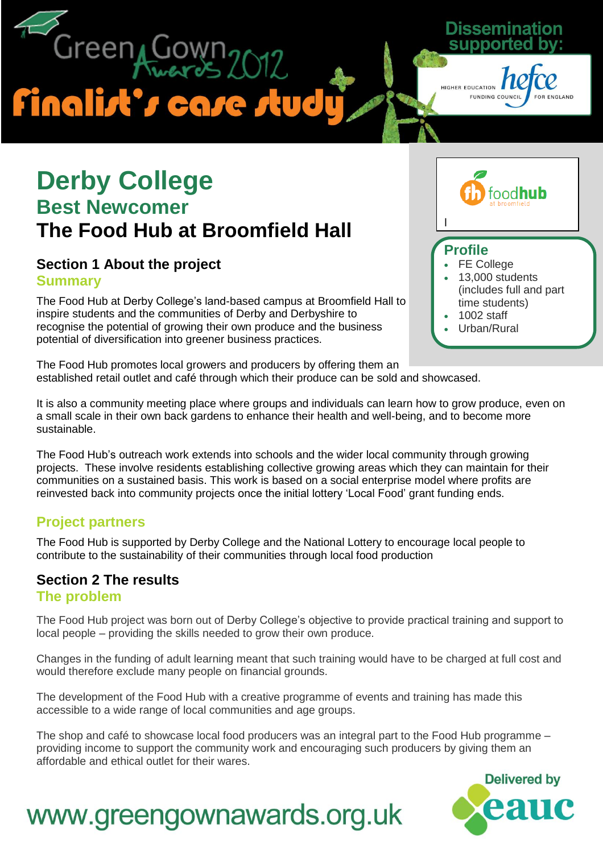Green<sub>4</sub>Go **Finalist's case study** 

### **Derby College Best Newcomer The Food Hub at Broomfield Hall**

### **Section 1 About the project Summary**

The Food Hub at Derby College's land-based campus at Broomfield Hall to inspire students and the communities of Derby and Derbyshire to recognise the potential of growing their own produce and the business potential of diversification into greener business practices.



ogo will be added here

### **Profile**

l

FE College

Dissem

HIGHER EDUCATION

**FUNDING COUNCIL** 

- 13,000 students (includes full and part time students)
- 1002 staff
- Urban/Rural

The Food Hub promotes local growers and producers by offering them an established retail outlet and café through which their produce can be sold and showcased.

It is also a community meeting place where groups and individuals can learn how to grow produce, even on a small scale in their own back gardens to enhance their health and well-being, and to become more sustainable.

The Food Hub's outreach work extends into schools and the wider local community through growing projects. These involve residents establishing collective growing areas which they can maintain for their communities on a sustained basis. This work is based on a social enterprise model where profits are reinvested back into community projects once the initial lottery 'Local Food' grant funding ends.

### **Project partners**

The Food Hub is supported by Derby College and the National Lottery to encourage local people to contribute to the sustainability of their communities through local food production

### **Section 2 The results**

**The problem**

The Food Hub project was born out of Derby College's objective to provide practical training and support to local people – providing the skills needed to grow their own produce.

Changes in the funding of adult learning meant that such training would have to be charged at full cost and would therefore exclude many people on financial grounds.

The development of the Food Hub with a creative programme of events and training has made this accessible to a wide range of local communities and age groups.

The shop and café to showcase local food producers was an integral part to the Food Hub programme – providing income to support the community work and encouraging such producers by giving them an affordable and ethical outlet for their wares.

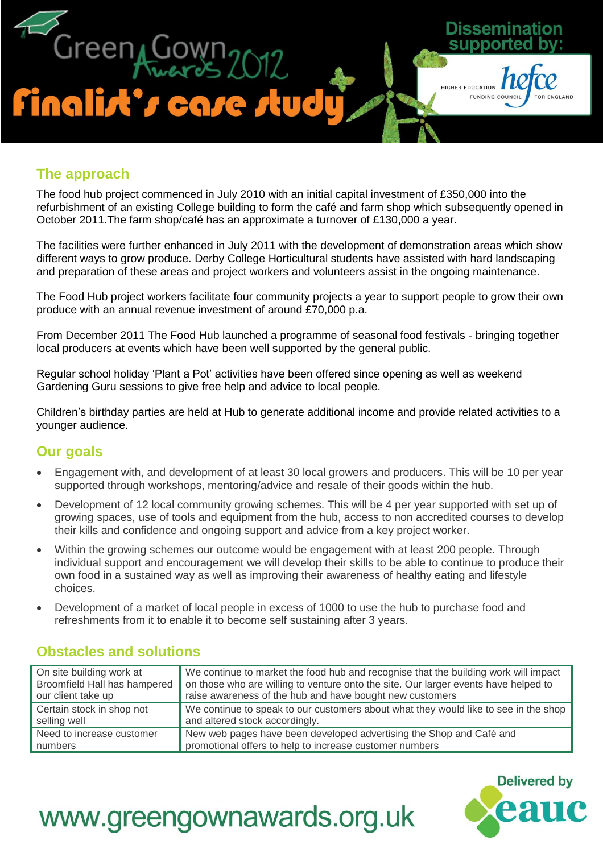

### **The approach**

The food hub project commenced in July 2010 with an initial capital investment of £350,000 into the refurbishment of an existing College building to form the café and farm shop which subsequently opened in October 2011.The farm shop/café has an approximate a turnover of £130,000 a year.

The facilities were further enhanced in July 2011 with the development of demonstration areas which show different ways to grow produce. Derby College Horticultural students have assisted with hard landscaping and preparation of these areas and project workers and volunteers assist in the ongoing maintenance.

The Food Hub project workers facilitate four community projects a year to support people to grow their own produce with an annual revenue investment of around £70,000 p.a.

From December 2011 The Food Hub launched a programme of seasonal food festivals - bringing together local producers at events which have been well supported by the general public.

Regular school holiday 'Plant a Pot' activities have been offered since opening as well as weekend Gardening Guru sessions to give free help and advice to local people.

Children's birthday parties are held at Hub to generate additional income and provide related activities to a younger audience.

### **Our goals**

- Engagement with, and development of at least 30 local growers and producers. This will be 10 per year supported through workshops, mentoring/advice and resale of their goods within the hub.
- Development of 12 local community growing schemes. This will be 4 per year supported with set up of growing spaces, use of tools and equipment from the hub, access to non accredited courses to develop their kills and confidence and ongoing support and advice from a key project worker.
- Within the growing schemes our outcome would be engagement with at least 200 people. Through individual support and encouragement we will develop their skills to be able to continue to produce their own food in a sustained way as well as improving their awareness of healthy eating and lifestyle choices.
- Development of a market of local people in excess of 1000 to use the hub to purchase food and refreshments from it to enable it to become self sustaining after 3 years.

| On site building work at     | We continue to market the food hub and recognise that the building work will impact |
|------------------------------|-------------------------------------------------------------------------------------|
| Broomfield Hall has hampered | on those who are willing to venture onto the site. Our larger events have helped to |
| our client take up           | raise awareness of the hub and have bought new customers                            |
| Certain stock in shop not    | We continue to speak to our customers about what they would like to see in the shop |
| selling well                 | and altered stock accordingly.                                                      |
| Need to increase customer    | New web pages have been developed advertising the Shop and Café and                 |
| numbers                      | promotional offers to help to increase customer numbers                             |

### **Obstacles and solutions**

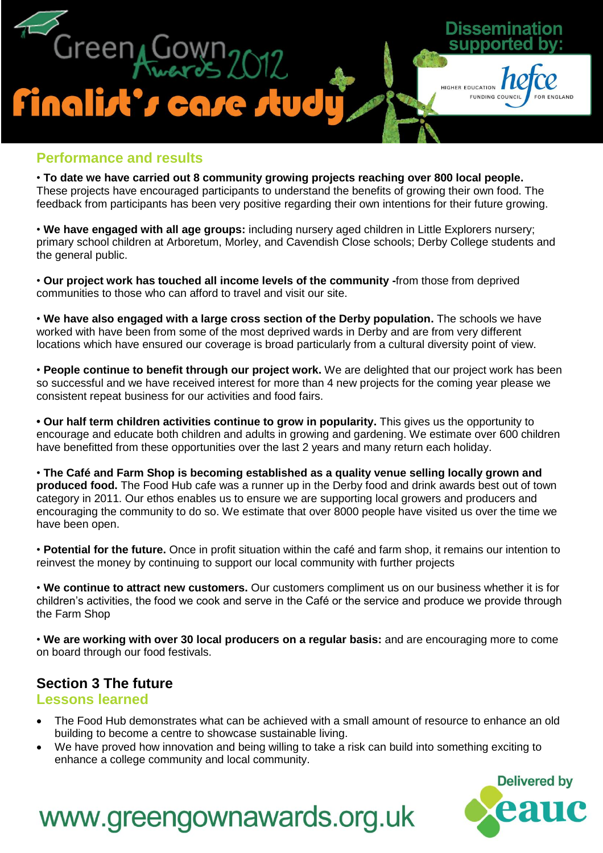

#### **Performance and results**

• **To date we have carried out 8 community growing projects reaching over 800 local people.** These projects have encouraged participants to understand the benefits of growing their own food. The feedback from participants has been very positive regarding their own intentions for their future growing.

• **We have engaged with all age groups:** including nursery aged children in Little Explorers nursery; primary school children at Arboretum, Morley, and Cavendish Close schools; Derby College students and the general public.

• **Our project work has touched all income levels of the community -**from those from deprived communities to those who can afford to travel and visit our site.

• **We have also engaged with a large cross section of the Derby population.** The schools we have worked with have been from some of the most deprived wards in Derby and are from very different locations which have ensured our coverage is broad particularly from a cultural diversity point of view.

• **People continue to benefit through our project work.** We are delighted that our project work has been so successful and we have received interest for more than 4 new projects for the coming year please we consistent repeat business for our activities and food fairs.

**• Our half term children activities continue to grow in popularity.** This gives us the opportunity to encourage and educate both children and adults in growing and gardening. We estimate over 600 children have benefitted from these opportunities over the last 2 years and many return each holiday.

• **The Café and Farm Shop is becoming established as a quality venue selling locally grown and produced food.** The Food Hub cafe was a runner up in the Derby food and drink awards best out of town category in 2011. Our ethos enables us to ensure we are supporting local growers and producers and encouraging the community to do so. We estimate that over 8000 people have visited us over the time we have been open.

• **Potential for the future.** Once in profit situation within the café and farm shop, it remains our intention to reinvest the money by continuing to support our local community with further projects

• **We continue to attract new customers.** Our customers compliment us on our business whether it is for children's activities, the food we cook and serve in the Café or the service and produce we provide through the Farm Shop

• **We are working with over 30 local producers on a regular basis:** and are encouraging more to come on board through our food festivals.

### **Section 3 The future**

#### **Lessons learned**

- The Food Hub demonstrates what can be achieved with a small amount of resource to enhance an old building to become a centre to showcase sustainable living.
- We have proved how innovation and being willing to take a risk can build into something exciting to enhance a college community and local community.